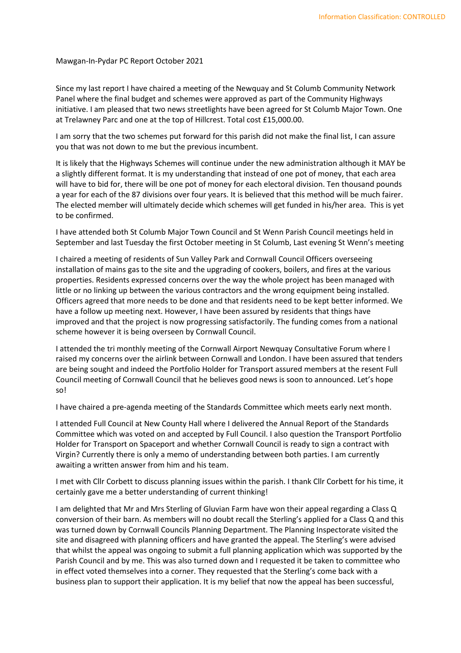## Mawgan-In-Pydar PC Report October 2021

Since my last report I have chaired a meeting of the Newquay and St Columb Community Network Panel where the final budget and schemes were approved as part of the Community Highways initiative. I am pleased that two news streetlights have been agreed for St Columb Major Town. One at Trelawney Parc and one at the top of Hillcrest. Total cost £15,000.00.

I am sorry that the two schemes put forward for this parish did not make the final list, I can assure you that was not down to me but the previous incumbent.

It is likely that the Highways Schemes will continue under the new administration although it MAY be a slightly different format. It is my understanding that instead of one pot of money, that each area will have to bid for, there will be one pot of money for each electoral division. Ten thousand pounds a year for each of the 87 divisions over four years. It is believed that this method will be much fairer. The elected member will ultimately decide which schemes will get funded in his/her area. This is yet to be confirmed.

I have attended both St Columb Major Town Council and St Wenn Parish Council meetings held in September and last Tuesday the first October meeting in St Columb, Last evening St Wenn's meeting

I chaired a meeting of residents of Sun Valley Park and Cornwall Council Officers overseeing installation of mains gas to the site and the upgrading of cookers, boilers, and fires at the various properties. Residents expressed concerns over the way the whole project has been managed with little or no linking up between the various contractors and the wrong equipment being installed. Officers agreed that more needs to be done and that residents need to be kept better informed. We have a follow up meeting next. However, I have been assured by residents that things have improved and that the project is now progressing satisfactorily. The funding comes from a national scheme however it is being overseen by Cornwall Council.

I attended the tri monthly meeting of the Cornwall Airport Newquay Consultative Forum where I raised my concerns over the airlink between Cornwall and London. I have been assured that tenders are being sought and indeed the Portfolio Holder for Transport assured members at the resent Full Council meeting of Cornwall Council that he believes good news is soon to announced. Let's hope so!

I have chaired a pre-agenda meeting of the Standards Committee which meets early next month.

I attended Full Council at New County Hall where I delivered the Annual Report of the Standards Committee which was voted on and accepted by Full Council. I also question the Transport Portfolio Holder for Transport on Spaceport and whether Cornwall Council is ready to sign a contract with Virgin? Currently there is only a memo of understanding between both parties. I am currently awaiting a written answer from him and his team.

I met with Cllr Corbett to discuss planning issues within the parish. I thank Cllr Corbett for his time, it certainly gave me a better understanding of current thinking!

I am delighted that Mr and Mrs Sterling of Gluvian Farm have won their appeal regarding a Class Q conversion of their barn. As members will no doubt recall the Sterling's applied for a Class Q and this was turned down by Cornwall Councils Planning Department. The Planning Inspectorate visited the site and disagreed with planning officers and have granted the appeal. The Sterling's were advised that whilst the appeal was ongoing to submit a full planning application which was supported by the Parish Council and by me. This was also turned down and I requested it be taken to committee who in effect voted themselves into a corner. They requested that the Sterling's come back with a business plan to support their application. It is my belief that now the appeal has been successful,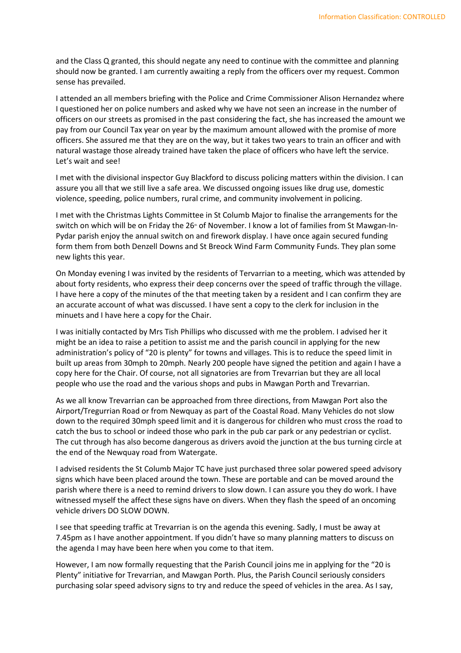and the Class Q granted, this should negate any need to continue with the committee and planning should now be granted. I am currently awaiting a reply from the officers over my request. Common sense has prevailed.

I attended an all members briefing with the Police and Crime Commissioner Alison Hernandez where I questioned her on police numbers and asked why we have not seen an increase in the number of officers on our streets as promised in the past considering the fact, she has increased the amount we pay from our Council Tax year on year by the maximum amount allowed with the promise of more officers. She assured me that they are on the way, but it takes two years to train an officer and with natural wastage those already trained have taken the place of officers who have left the service. Let's wait and see!

I met with the divisional inspector Guy Blackford to discuss policing matters within the division. I can assure you all that we still live a safe area. We discussed ongoing issues like drug use, domestic violence, speeding, police numbers, rural crime, and community involvement in policing.

I met with the Christmas Lights Committee in St Columb Major to finalise the arrangements for the switch on which will be on Friday the 26<sup>th</sup> of November. I know a lot of families from St Mawgan-In-Pydar parish enjoy the annual switch on and firework display. I have once again secured funding form them from both Denzell Downs and St Breock Wind Farm Community Funds. They plan some new lights this year.

On Monday evening I was invited by the residents of Tervarrian to a meeting, which was attended by about forty residents, who express their deep concerns over the speed of traffic through the village. I have here a copy of the minutes of the that meeting taken by a resident and I can confirm they are an accurate account of what was discussed. I have sent a copy to the clerk for inclusion in the minuets and I have here a copy for the Chair.

I was initially contacted by Mrs Tish Phillips who discussed with me the problem. I advised her it might be an idea to raise a petition to assist me and the parish council in applying for the new administration's policy of "20 is plenty" for towns and villages. This is to reduce the speed limit in built up areas from 30mph to 20mph. Nearly 200 people have signed the petition and again I have a copy here for the Chair. Of course, not all signatories are from Trevarrian but they are all local people who use the road and the various shops and pubs in Mawgan Porth and Trevarrian.

As we all know Trevarrian can be approached from three directions, from Mawgan Port also the Airport/Tregurrian Road or from Newquay as part of the Coastal Road. Many Vehicles do not slow down to the required 30mph speed limit and it is dangerous for children who must cross the road to catch the bus to school or indeed those who park in the pub car park or any pedestrian or cyclist. The cut through has also become dangerous as drivers avoid the junction at the bus turning circle at the end of the Newquay road from Watergate.

I advised residents the St Columb Major TC have just purchased three solar powered speed advisory signs which have been placed around the town. These are portable and can be moved around the parish where there is a need to remind drivers to slow down. I can assure you they do work. I have witnessed myself the affect these signs have on divers. When they flash the speed of an oncoming vehicle drivers DO SLOW DOWN.

I see that speeding traffic at Trevarrian is on the agenda this evening. Sadly, I must be away at 7.45pm as I have another appointment. If you didn't have so many planning matters to discuss on the agenda I may have been here when you come to that item.

However, I am now formally requesting that the Parish Council joins me in applying for the "20 is Plenty" initiative for Trevarrian, and Mawgan Porth. Plus, the Parish Council seriously considers purchasing solar speed advisory signs to try and reduce the speed of vehicles in the area. As I say,